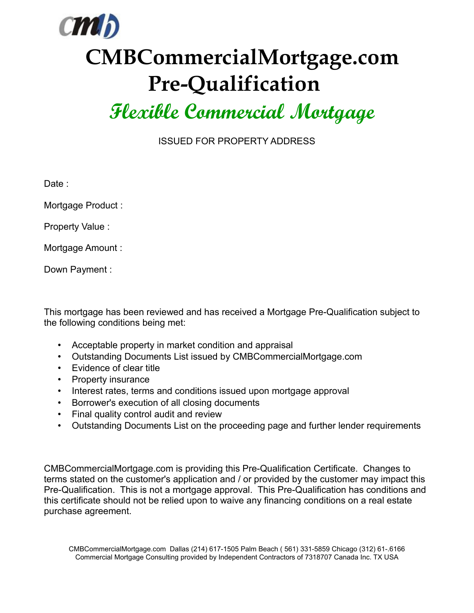

## **CMBCommercialMortgage.com Pre-Qualification**

## **Flexible Commercial Mortgage**

ISSUED FOR PROPERTY ADDRESS

Date :

Mortgage Product :

Property Value :

Mortgage Amount :

Down Payment :

This mortgage has been reviewed and has received a Mortgage Pre-Qualification subject to the following conditions being met:

- Acceptable property in market condition and appraisal
- Outstanding Documents List issued by CMBCommercialMortgage.com
- Evidence of clear title
- Property insurance
- Interest rates, terms and conditions issued upon mortgage approval
- Borrower's execution of all closing documents
- Final quality control audit and review
- Outstanding Documents List on the proceeding page and further lender requirements

CMBCommercialMortgage.com is providing this Pre-Qualification Certificate. Changes to terms stated on the customer's application and / or provided by the customer may impact this Pre-Qualification. This is not a mortgage approval. This Pre-Qualification has conditions and this certificate should not be relied upon to waive any financing conditions on a real estate purchase agreement.